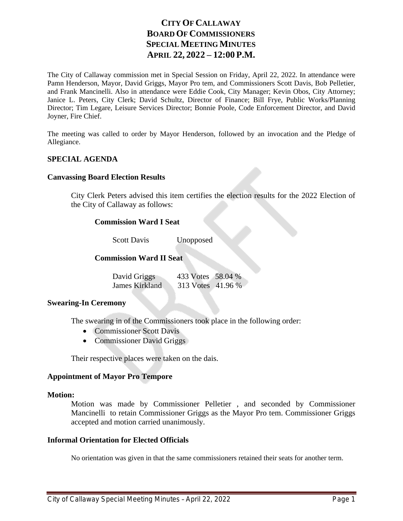# **CITY OF CALLAWAY BOARD OF COMMISSIONERS SPECIAL MEETING MINUTES APRIL 22, 2022 – 12:00 P.M.**

The City of Callaway commission met in Special Session on Friday, April 22, 2022. In attendance were Pamn Henderson, Mayor, David Griggs, Mayor Pro tem, and Commissioners Scott Davis, Bob Pelletier, and Frank Mancinelli. Also in attendance were Eddie Cook, City Manager; Kevin Obos, City Attorney; Janice L. Peters, City Clerk; David Schultz, Director of Finance; Bill Frye, Public Works/Planning Director; Tim Legare, Leisure Services Director; Bonnie Poole, Code Enforcement Director, and David Joyner, Fire Chief.

The meeting was called to order by Mayor Henderson, followed by an invocation and the Pledge of Allegiance.

# **SPECIAL AGENDA**

#### **Canvassing Board Election Results**

City Clerk Peters advised this item certifies the election results for the 2022 Election of the City of Callaway as follows:

## **Commission Ward I Seat**

Scott Davis Unopposed

# **Commission Ward II Seat**

| David Griggs   | 433 Votes 58.04 % |  |
|----------------|-------------------|--|
| James Kirkland | 313 Votes 41.96 % |  |

## **Swearing-In Ceremony**

The swearing in of the Commissioners took place in the following order:

- Commissioner Scott Davis
- Commissioner David Griggs

Their respective places were taken on the dais.

## **Appointment of Mayor Pro Tempore**

#### **Motion:**

Motion was made by Commissioner Pelletier , and seconded by Commissioner Mancinelli to retain Commissioner Griggs as the Mayor Pro tem. Commissioner Griggs accepted and motion carried unanimously.

## **Informal Orientation for Elected Officials**

No orientation was given in that the same commissioners retained their seats for another term.